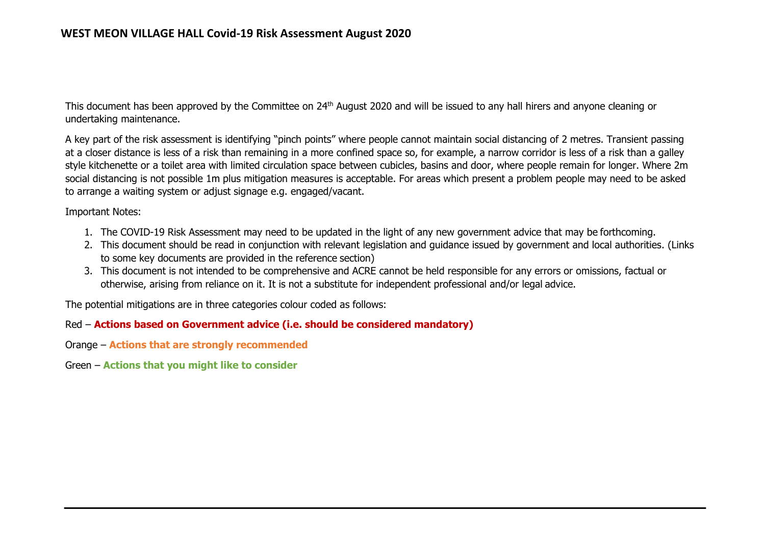This document has been approved by the Committee on 24th August 2020 and will be issued to any hall hirers and anyone cleaning or undertaking maintenance.

A key part of the risk assessment is identifying "pinch points" where people cannot maintain social distancing of 2 metres. Transient passing at a closer distance is less of a risk than remaining in a more confined space so, for example, a narrow corridor is less of a risk than a galley style kitchenette or a toilet area with limited circulation space between cubicles, basins and door, where people remain for longer. Where 2m social distancing is not possible 1m plus mitigation measures is acceptable. For areas which present a problem people may need to be asked to arrange a waiting system or adjust signage e.g. engaged/vacant.

Important Notes:

- 1. The COVID-19 Risk Assessment may need to be updated in the light of any new government advice that may be forthcoming.
- 2. This document should be read in conjunction with relevant legislation and guidance issued by government and local authorities. (Links to some key documents are provided in the reference section)
- 3. This document is not intended to be comprehensive and ACRE cannot be held responsible for any errors or omissions, factual or otherwise, arising from reliance on it. It is not a substitute for independent professional and/or legal advice.

The potential mitigations are in three categories colour coded as follows:

## Red – **Actions based on Government advice (i.e. should be considered mandatory)**

- Orange **Actions that are strongly recommended**
- Green **Actions that you might like to consider**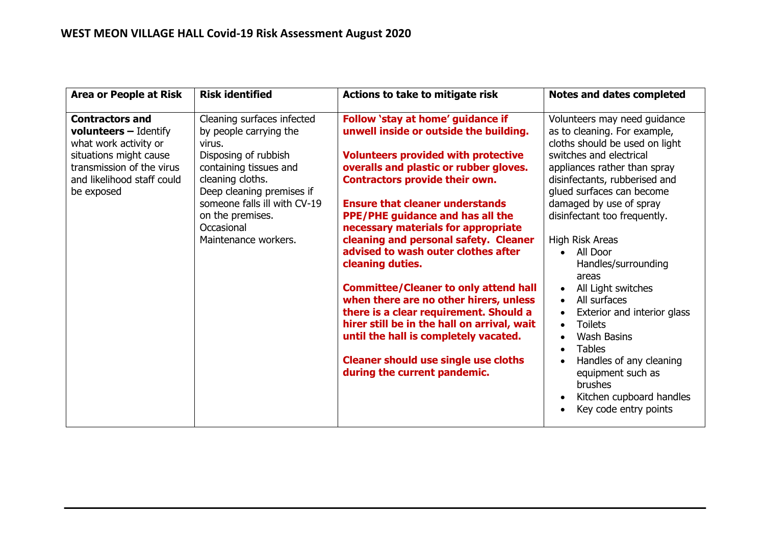| <b>Area or People at Risk</b>                                                                                                                                                      | <b>Risk identified</b>                                                                                                                                                                                                                                      | Actions to take to mitigate risk                                                                                                                                                                                                                                                                                                                                                                                                                                                                                                                                                                                                                                                                                                                        | <b>Notes and dates completed</b>                                                                                                                                                                                                                                                                                                                                                                                                                                                                                                                                                                |
|------------------------------------------------------------------------------------------------------------------------------------------------------------------------------------|-------------------------------------------------------------------------------------------------------------------------------------------------------------------------------------------------------------------------------------------------------------|---------------------------------------------------------------------------------------------------------------------------------------------------------------------------------------------------------------------------------------------------------------------------------------------------------------------------------------------------------------------------------------------------------------------------------------------------------------------------------------------------------------------------------------------------------------------------------------------------------------------------------------------------------------------------------------------------------------------------------------------------------|-------------------------------------------------------------------------------------------------------------------------------------------------------------------------------------------------------------------------------------------------------------------------------------------------------------------------------------------------------------------------------------------------------------------------------------------------------------------------------------------------------------------------------------------------------------------------------------------------|
| <b>Contractors and</b><br><b>volunteers</b> - Identify<br>what work activity or<br>situations might cause<br>transmission of the virus<br>and likelihood staff could<br>be exposed | Cleaning surfaces infected<br>by people carrying the<br>virus.<br>Disposing of rubbish<br>containing tissues and<br>cleaning cloths.<br>Deep cleaning premises if<br>someone falls ill with CV-19<br>on the premises.<br>Occasional<br>Maintenance workers. | Follow 'stay at home' guidance if<br>unwell inside or outside the building.<br><b>Volunteers provided with protective</b><br>overalls and plastic or rubber gloves.<br><b>Contractors provide their own.</b><br><b>Ensure that cleaner understands</b><br><b>PPE/PHE guidance and has all the</b><br>necessary materials for appropriate<br>cleaning and personal safety. Cleaner<br>advised to wash outer clothes after<br>cleaning duties.<br><b>Committee/Cleaner to only attend hall</b><br>when there are no other hirers, unless<br>there is a clear requirement. Should a<br>hirer still be in the hall on arrival, wait<br>until the hall is completely vacated.<br><b>Cleaner should use single use cloths</b><br>during the current pandemic. | Volunteers may need guidance<br>as to cleaning. For example,<br>cloths should be used on light<br>switches and electrical<br>appliances rather than spray<br>disinfectants, rubberised and<br>glued surfaces can become<br>damaged by use of spray<br>disinfectant too frequently.<br>High Risk Areas<br>All Door<br>Handles/surrounding<br>areas<br>All Light switches<br>All surfaces<br>Exterior and interior glass<br><b>Toilets</b><br><b>Wash Basins</b><br><b>Tables</b><br>Handles of any cleaning<br>equipment such as<br>brushes<br>Kitchen cupboard handles<br>Key code entry points |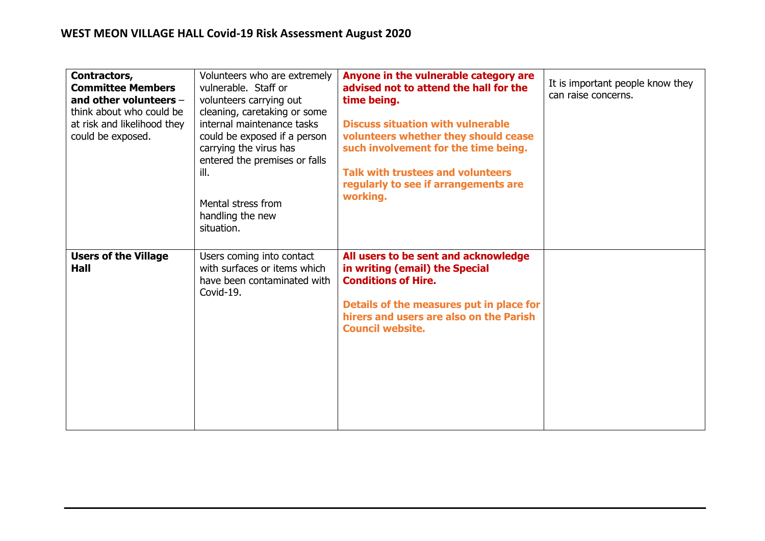| Contractors,<br><b>Committee Members</b><br>and other volunteers $-$<br>think about who could be<br>at risk and likelihood they<br>could be exposed. | Volunteers who are extremely<br>vulnerable. Staff or<br>volunteers carrying out<br>cleaning, caretaking or some<br>internal maintenance tasks<br>could be exposed if a person<br>carrying the virus has<br>entered the premises or falls<br>ill.<br>Mental stress from<br>handling the new<br>situation. | Anyone in the vulnerable category are<br>advised not to attend the hall for the<br>time being.<br><b>Discuss situation with vulnerable</b><br>volunteers whether they should cease<br>such involvement for the time being.<br><b>Talk with trustees and volunteers</b><br>regularly to see if arrangements are<br>working. | It is important people know they<br>can raise concerns. |
|------------------------------------------------------------------------------------------------------------------------------------------------------|----------------------------------------------------------------------------------------------------------------------------------------------------------------------------------------------------------------------------------------------------------------------------------------------------------|----------------------------------------------------------------------------------------------------------------------------------------------------------------------------------------------------------------------------------------------------------------------------------------------------------------------------|---------------------------------------------------------|
| <b>Users of the Village</b><br>Hall                                                                                                                  | Users coming into contact<br>with surfaces or items which<br>have been contaminated with<br>Covid-19.                                                                                                                                                                                                    | All users to be sent and acknowledge<br>in writing (email) the Special<br><b>Conditions of Hire.</b><br>Details of the measures put in place for<br>hirers and users are also on the Parish<br><b>Council website.</b>                                                                                                     |                                                         |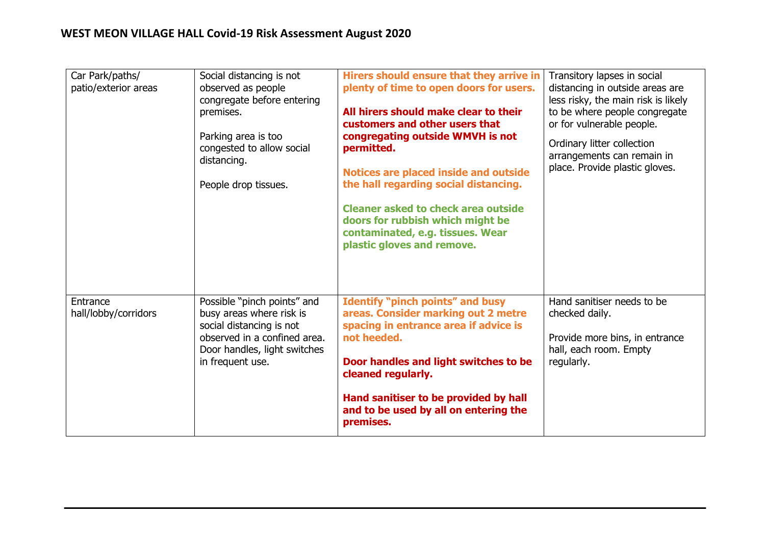## **WEST MEON VILLAGE HALL Covid-19 Risk Assessment August 2020**

| Car Park/paths/<br>patio/exterior areas | Social distancing is not<br>observed as people<br>congregate before entering<br>premises.<br>Parking area is too<br>congested to allow social<br>distancing.<br>People drop tissues. | Hirers should ensure that they arrive in<br>plenty of time to open doors for users.<br>All hirers should make clear to their<br>customers and other users that<br>congregating outside WMVH is not<br>permitted.<br><b>Notices are placed inside and outside</b><br>the hall regarding social distancing.<br><b>Cleaner asked to check area outside</b><br>doors for rubbish which might be<br>contaminated, e.g. tissues. Wear<br>plastic gloves and remove. | Transitory lapses in social<br>distancing in outside areas are<br>less risky, the main risk is likely<br>to be where people congregate<br>or for vulnerable people.<br>Ordinary litter collection<br>arrangements can remain in<br>place. Provide plastic gloves. |
|-----------------------------------------|--------------------------------------------------------------------------------------------------------------------------------------------------------------------------------------|---------------------------------------------------------------------------------------------------------------------------------------------------------------------------------------------------------------------------------------------------------------------------------------------------------------------------------------------------------------------------------------------------------------------------------------------------------------|-------------------------------------------------------------------------------------------------------------------------------------------------------------------------------------------------------------------------------------------------------------------|
| Entrance<br>hall/lobby/corridors        | Possible "pinch points" and<br>busy areas where risk is<br>social distancing is not<br>observed in a confined area.<br>Door handles, light switches<br>in frequent use.              | <b>Identify "pinch points" and busy</b><br>areas. Consider marking out 2 metre<br>spacing in entrance area if advice is<br>not heeded.<br>Door handles and light switches to be<br>cleaned regularly.<br>Hand sanitiser to be provided by hall<br>and to be used by all on entering the<br>premises.                                                                                                                                                          | Hand sanitiser needs to be<br>checked daily.<br>Provide more bins, in entrance<br>hall, each room. Empty<br>regularly.                                                                                                                                            |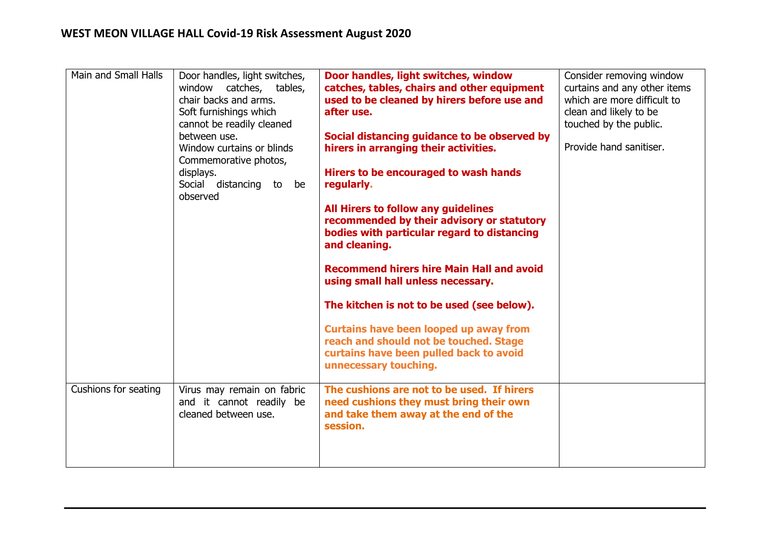| Main and Small Halls | Door handles, light switches,<br>window catches,<br>tables,<br>chair backs and arms.<br>Soft furnishings which<br>cannot be readily cleaned<br>between use.<br>Window curtains or blinds<br>Commemorative photos,<br>displays.<br>Social distancing<br>to<br>be<br>observed | Door handles, light switches, window<br>catches, tables, chairs and other equipment<br>used to be cleaned by hirers before use and<br>after use.<br>Social distancing guidance to be observed by<br>hirers in arranging their activities.<br>Hirers to be encouraged to wash hands<br>regularly.<br>All Hirers to follow any guidelines<br>recommended by their advisory or statutory<br>bodies with particular regard to distancing<br>and cleaning.<br><b>Recommend hirers hire Main Hall and avoid</b><br>using small hall unless necessary.<br>The kitchen is not to be used (see below).<br><b>Curtains have been looped up away from</b><br>reach and should not be touched. Stage<br>curtains have been pulled back to avoid | Consider removing window<br>curtains and any other items<br>which are more difficult to<br>clean and likely to be<br>touched by the public.<br>Provide hand sanitiser. |
|----------------------|-----------------------------------------------------------------------------------------------------------------------------------------------------------------------------------------------------------------------------------------------------------------------------|-------------------------------------------------------------------------------------------------------------------------------------------------------------------------------------------------------------------------------------------------------------------------------------------------------------------------------------------------------------------------------------------------------------------------------------------------------------------------------------------------------------------------------------------------------------------------------------------------------------------------------------------------------------------------------------------------------------------------------------|------------------------------------------------------------------------------------------------------------------------------------------------------------------------|
|                      |                                                                                                                                                                                                                                                                             | unnecessary touching.                                                                                                                                                                                                                                                                                                                                                                                                                                                                                                                                                                                                                                                                                                               |                                                                                                                                                                        |
| Cushions for seating | Virus may remain on fabric<br>and it cannot readily be<br>cleaned between use.                                                                                                                                                                                              | The cushions are not to be used. If hirers<br>need cushions they must bring their own<br>and take them away at the end of the<br>session.                                                                                                                                                                                                                                                                                                                                                                                                                                                                                                                                                                                           |                                                                                                                                                                        |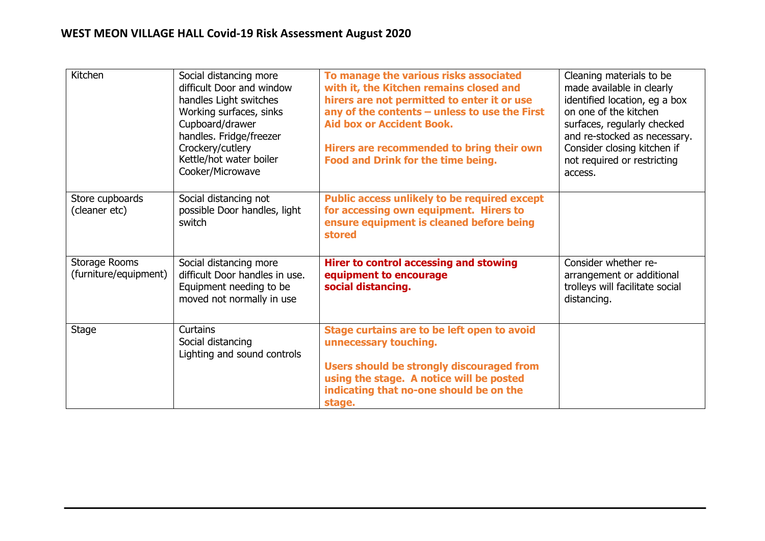| Kitchen                                | Social distancing more<br>difficult Door and window<br>handles Light switches<br>Working surfaces, sinks<br>Cupboard/drawer<br>handles. Fridge/freezer<br>Crockery/cutlery<br>Kettle/hot water boiler<br>Cooker/Microwave | To manage the various risks associated<br>with it, the Kitchen remains closed and<br>hirers are not permitted to enter it or use<br>any of the contents - unless to use the First<br><b>Aid box or Accident Book.</b><br>Hirers are recommended to bring their own<br>Food and Drink for the time being. | Cleaning materials to be<br>made available in clearly<br>identified location, eg a box<br>on one of the kitchen<br>surfaces, regularly checked<br>and re-stocked as necessary.<br>Consider closing kitchen if<br>not required or restricting<br>access. |
|----------------------------------------|---------------------------------------------------------------------------------------------------------------------------------------------------------------------------------------------------------------------------|----------------------------------------------------------------------------------------------------------------------------------------------------------------------------------------------------------------------------------------------------------------------------------------------------------|---------------------------------------------------------------------------------------------------------------------------------------------------------------------------------------------------------------------------------------------------------|
| Store cupboards<br>(cleaner etc)       | Social distancing not<br>possible Door handles, light<br>switch                                                                                                                                                           | <b>Public access unlikely to be required except</b><br>for accessing own equipment. Hirers to<br>ensure equipment is cleaned before being<br>stored                                                                                                                                                      |                                                                                                                                                                                                                                                         |
| Storage Rooms<br>(furniture/equipment) | Social distancing more<br>difficult Door handles in use.<br>Equipment needing to be<br>moved not normally in use                                                                                                          | <b>Hirer to control accessing and stowing</b><br>equipment to encourage<br>social distancing.                                                                                                                                                                                                            | Consider whether re-<br>arrangement or additional<br>trolleys will facilitate social<br>distancing.                                                                                                                                                     |
| Stage                                  | <b>Curtains</b><br>Social distancing<br>Lighting and sound controls                                                                                                                                                       | Stage curtains are to be left open to avoid<br>unnecessary touching.<br><b>Users should be strongly discouraged from</b><br>using the stage. A notice will be posted<br>indicating that no-one should be on the<br>stage.                                                                                |                                                                                                                                                                                                                                                         |